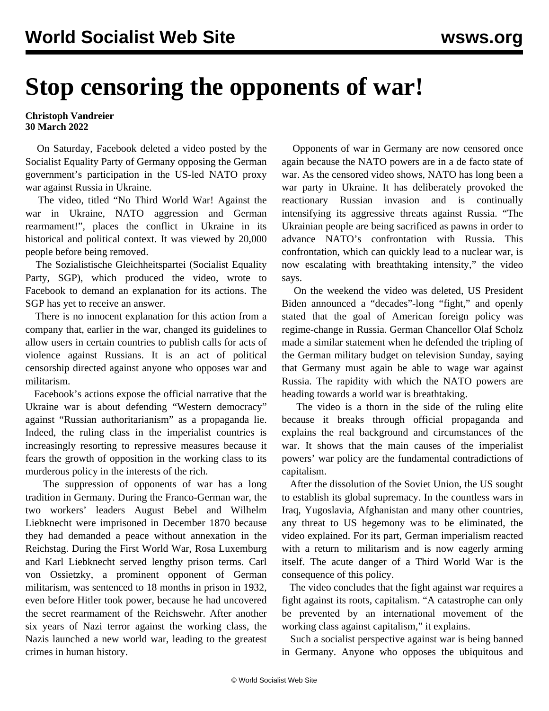## **Stop censoring the opponents of war!**

## **Christoph Vandreier 30 March 2022**

 On Saturday, Facebook deleted a video posted by the Socialist Equality Party of Germany opposing the German government's participation in the US-led NATO proxy war against Russia in Ukraine.

 The video, titled "No Third World War! Against the war in Ukraine, NATO aggression and German rearmament!", places the conflict in Ukraine in its historical and political context. It was viewed by 20,000 people before being removed.

 The Sozialistische Gleichheitspartei (Socialist Equality Party, SGP), which produced the video, wrote to Facebook to demand an explanation for its actions. The SGP has yet to receive an answer.

 There is no innocent explanation for this action from a company that, earlier in the war, changed its guidelines to allow users in certain countries to publish calls for acts of violence against Russians. It is an act of political censorship directed against anyone who opposes war and militarism.

 Facebook's actions expose the official narrative that the Ukraine war is about defending "Western democracy" against "Russian authoritarianism" as a propaganda lie. Indeed, the ruling class in the imperialist countries is increasingly resorting to repressive measures because it fears the growth of opposition in the working class to its murderous policy in the interests of the rich.

 The suppression of opponents of war has a long tradition in Germany. During the Franco-German war, the two workers' leaders August Bebel and Wilhelm Liebknecht were imprisoned in December 1870 because they had demanded a peace without annexation in the Reichstag. During the First World War, Rosa Luxemburg and Karl Liebknecht served lengthy prison terms. Carl von Ossietzky, a prominent opponent of German militarism, was sentenced to 18 months in prison in 1932, even before Hitler took power, because he had uncovered the secret rearmament of the Reichswehr. After another six years of Nazi terror against the working class, the Nazis launched a new world war, leading to the greatest crimes in human history.

 Opponents of war in Germany are now censored once again because the NATO powers are in a de facto state of war. As the censored video shows, NATO has long been a war party in Ukraine. It has deliberately provoked the reactionary Russian invasion and is continually intensifying its aggressive threats against Russia. "The Ukrainian people are being sacrificed as pawns in order to advance NATO's confrontation with Russia. This confrontation, which can quickly lead to a nuclear war, is now escalating with breathtaking intensity," the video says.

 On the weekend the video was deleted, US President Biden announced a "decades"-long "fight," and openly stated that the goal of American foreign policy was regime-change in Russia. German Chancellor Olaf Scholz made a similar statement when he defended the tripling of the German military budget on television Sunday, saying that Germany must again be able to wage war against Russia. The rapidity with which the NATO powers are heading towards a world war is breathtaking.

 The video is a thorn in the side of the ruling elite because it breaks through official propaganda and explains the real background and circumstances of the war. It shows that the main causes of the imperialist powers' war policy are the fundamental contradictions of capitalism.

 After the dissolution of the Soviet Union, the US sought to establish its global supremacy. In the countless wars in Iraq, Yugoslavia, Afghanistan and many other countries, any threat to US hegemony was to be eliminated, the video explained. For its part, German imperialism reacted with a return to militarism and is now eagerly arming itself. The acute danger of a Third World War is the consequence of this policy.

 The video concludes that the fight against war requires a fight against its roots, capitalism. "A catastrophe can only be prevented by an international movement of the working class against capitalism," it explains.

 Such a socialist perspective against war is being banned in Germany. Anyone who opposes the ubiquitous and